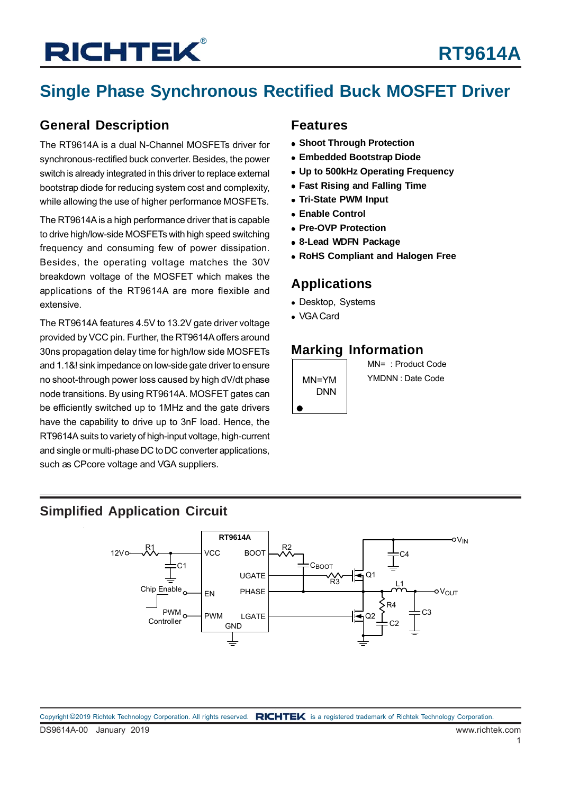## **Single Phase Synchronous Rectified Buck MOSFET Driver**

### **General Description**

The RT9614A is a dual N-Channel MOSFETs driver for synchronous-rectified buck converter. Besides, the power switch is already integrated in this driver to replace external bootstrap diode for reducing system cost and complexity, while allowing the use of higher performance MOSFETs.

The RT9614A is a high performance driver that is capable to drive high/low-side MOSFETs with high speed switching frequency and consuming few of power dissipation. Besides, the operating voltage matches the 30V breakdown voltage of the MOSFET which makes the applications of the RT9614A are more flexible and extensive.

The RT9614A features 4.5V to 13.2V gate driver voltage provided by VCC pin. Further, the RT9614A offers around 30ns propagation delay time for high/low side MOSFETs and 1.1&! sink impedance on low-side gate driver to ensure no shoot-through power loss caused by high dV/dt phase node transitions. By using RT9614A. MOSFET gates can be efficiently switched up to 1MHz and the gate drivers have the capability to drive up to 3nF load. Hence, the RT9614A suits to variety of high-input voltage, high-current and single or multi-phase DC to DC converter applications, such as CPcore voltage and VGA suppliers.

#### **Features**

- **Shoot Through Protection**
- **Embedded Bootstrap Diode**
- **Up to 500kHz Operating Frequency**
- **Fast Rising and Falling Time**
- **Tri-State PWM Input**
- **Enable Control**
- **Pre-OVP Protection**
- **8-Lead WDFN Package**
- **RoHS Compliant and Halogen Free**

### **Applications**

- Desktop, Systems
- VGA Card

### **Marking Information**

MN=YM DNN

 $\bullet$ 

MN= : Product Code YMDNN : Date Code

### **Simplified Application Circuit**

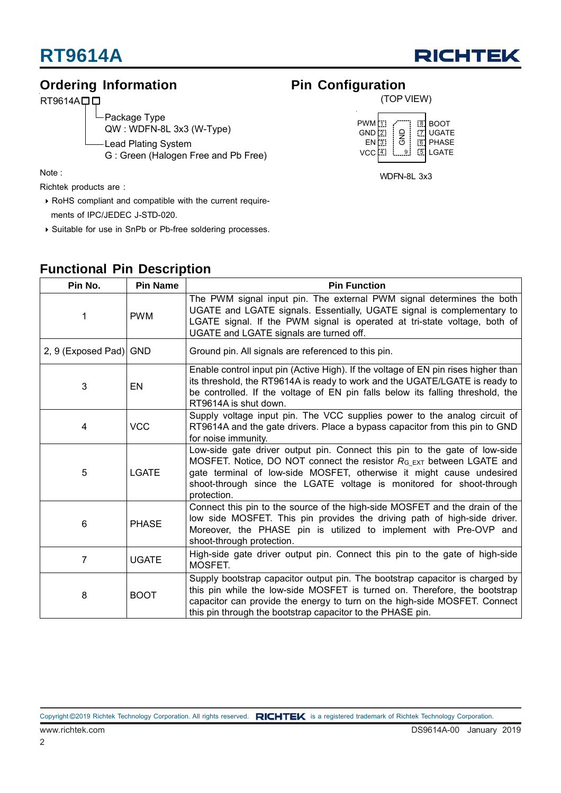

### **Ordering Information**

RT9614A<sub>D</sub>

Lead Plating System Package Type QW : WDFN-8L 3x3 (W-Type)

G : Green (Halogen Free and Pb Free)

Note :

Richtek products are :

- RoHS compliant and compatible with the current require ments of IPC/JEDEC J-STD-020.
- Suitable for use in SnPb or Pb-free soldering processes.

### **Pin Configuration**



WDFN-8L 3x3

| Pin No.                | <b>Pin Name</b>                                                                                                                                                                                                                                                                                      | <b>Pin Function</b>                                                                                                                                                                                                                                                                                                 |
|------------------------|------------------------------------------------------------------------------------------------------------------------------------------------------------------------------------------------------------------------------------------------------------------------------------------------------|---------------------------------------------------------------------------------------------------------------------------------------------------------------------------------------------------------------------------------------------------------------------------------------------------------------------|
| 1                      | <b>PWM</b>                                                                                                                                                                                                                                                                                           | The PWM signal input pin. The external PWM signal determines the both<br>UGATE and LGATE signals. Essentially, UGATE signal is complementary to<br>LGATE signal. If the PWM signal is operated at tri-state voltage, both of<br>UGATE and LGATE signals are turned off.                                             |
| 2, 9 (Exposed Pad) GND |                                                                                                                                                                                                                                                                                                      | Ground pin. All signals are referenced to this pin.                                                                                                                                                                                                                                                                 |
| 3                      | EN                                                                                                                                                                                                                                                                                                   | Enable control input pin (Active High). If the voltage of EN pin rises higher than<br>its threshold, the RT9614A is ready to work and the UGATE/LGATE is ready to<br>be controlled. If the voltage of EN pin falls below its falling threshold, the<br>RT9614A is shut down.                                        |
| 4                      | <b>VCC</b>                                                                                                                                                                                                                                                                                           | Supply voltage input pin. The VCC supplies power to the analog circuit of<br>RT9614A and the gate drivers. Place a bypass capacitor from this pin to GND<br>for noise immunity.                                                                                                                                     |
| 5                      | <b>LGATE</b>                                                                                                                                                                                                                                                                                         | Low-side gate driver output pin. Connect this pin to the gate of low-side<br>MOSFET. Notice, DO NOT connect the resistor $R_{C_1}$ between LGATE and<br>gate terminal of low-side MOSFET, otherwise it might cause undesired<br>shoot-through since the LGATE voltage is monitored for shoot-through<br>protection. |
| 6                      | <b>PHASE</b>                                                                                                                                                                                                                                                                                         | Connect this pin to the source of the high-side MOSFET and the drain of the<br>low side MOSFET. This pin provides the driving path of high-side driver.<br>Moreover, the PHASE pin is utilized to implement with Pre-OVP and<br>shoot-through protection.                                                           |
| 7                      | <b>UGATE</b>                                                                                                                                                                                                                                                                                         | High-side gate driver output pin. Connect this pin to the gate of high-side<br>MOSFET.                                                                                                                                                                                                                              |
| 8                      | Supply bootstrap capacitor output pin. The bootstrap capacitor is charged by<br>this pin while the low-side MOSFET is turned on. Therefore, the bootstrap<br>capacitor can provide the energy to turn on the high-side MOSFET. Connect<br>this pin through the bootstrap capacitor to the PHASE pin. |                                                                                                                                                                                                                                                                                                                     |

### **Functional Pin Description**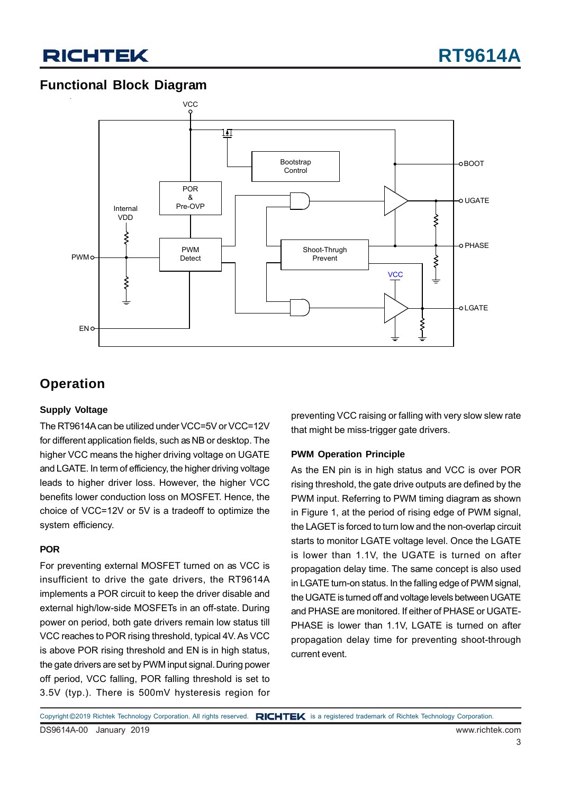### **Functional Block Diagram**



### **Operation**

#### **Supply Voltage**

The RT9614A can be utilized under VCC=5V or VCC=12V for different application fields, such as NB or desktop. The higher VCC means the higher driving voltage on UGATE and LGATE. In term of efficiency, the higher driving voltage leads to higher driver loss. However, the higher VCC benefits lower conduction loss on MOSFET. Hence, the choice of VCC=12V or 5V is a tradeoff to optimize the system efficiency.

#### **POR**

For preventing external MOSFET turned on as VCC is insufficient to drive the gate drivers, the RT9614A implements a POR circuit to keep the driver disable and external high/low-side MOSFETs in an off-state. During power on period, both gate drivers remain low status till VCC reaches to POR rising threshold, typical 4V. As VCC is above POR rising threshold and EN is in high status, the gate drivers are set by PWM input signal. During power off period, VCC falling, POR falling threshold is set to 3.5V (typ.). There is 500mV hysteresis region for preventing VCC raising or falling with very slow slew rate that might be miss-trigger gate drivers.

#### **PWM Operation Principle**

As the EN pin is in high status and VCC is over POR rising threshold, the gate drive outputs are defined by the PWM input. Referring to PWM timing diagram as shown in Figure 1, at the period of rising edge of PWM signal, the LAGET is forced to turn low and the non-overlap circuit starts to monitor LGATE voltage level. Once the LGATE is lower than 1.1V, the UGATE is turned on after propagation delay time. The same concept is also used in LGATE turn-on status. In the falling edge of PWM signal, the UGATE is turned off and voltage levels between UGATE and PHASE are monitored. If either of PHASE or UGATE-PHASE is lower than 1.1V, LGATE is turned on after propagation delay time for preventing shoot-through current event.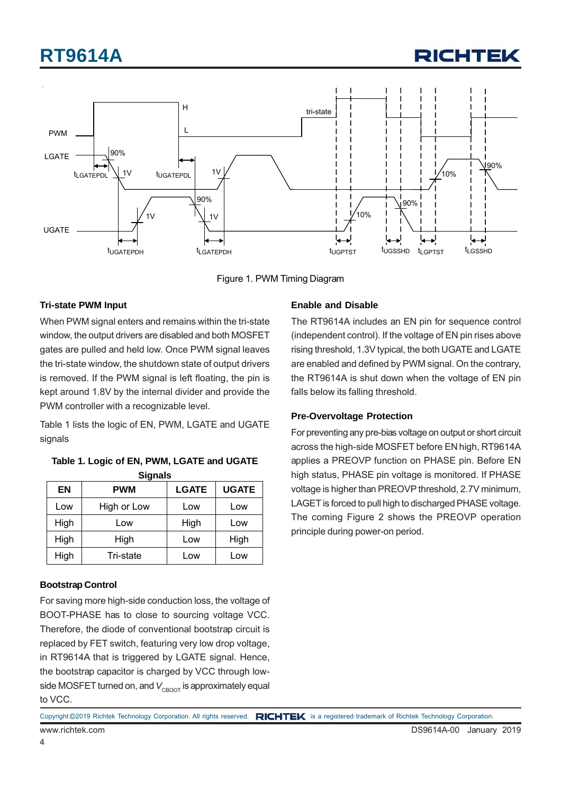



Figure 1. PWM Timing Diagram

#### **Tri-state PWM Input**

When PWM signal enters and remains within the tri-state window, the output drivers are disabled and both MOSFET gates are pulled and held low. Once PWM signal leaves the tri-state window, the shutdown state of output drivers is removed. If the PWM signal is left floating, the pin is kept around 1.8V by the internal divider and provide the PWM controller with a recognizable level.

Table 1 lists the logic of EN, PWM, LGATE and UGATE signals

| Signais |             |              |              |  |  |  |  |  |
|---------|-------------|--------------|--------------|--|--|--|--|--|
| EN      | <b>PWM</b>  | <b>LGATE</b> | <b>UGATE</b> |  |  |  |  |  |
| Low     | High or Low | Low          | Low          |  |  |  |  |  |
| High    | Low         | High         | Low          |  |  |  |  |  |
| High    | High        | Low          | High         |  |  |  |  |  |
| High    | Tri-state   | Low          | Low          |  |  |  |  |  |

**Table 1. Logic of EN, PWM, LGATE and UGATE Signals**

#### **Bootstrap Control**

For saving more high-side conduction loss, the voltage of BOOT-PHASE has to close to sourcing voltage VCC. Therefore, the diode of conventional bootstrap circuit is replaced by FET switch, featuring very low drop voltage, in RT9614A that is triggered by LGATE signal. Hence, the bootstrap capacitor is charged by VCC through lowside MOSFET turned on, and V<sub>CROOT</sub> is approximately equal to VCC.

#### **Enable and Disable**

The RT9614A includes an EN pin for sequence control (independent control). If the voltage of EN pin rises above rising threshold, 1.3V typical, the both UGATE and LGATE are enabled and defined by PWM signal. On the contrary, the RT9614A is shut down when the voltage of EN pin falls below its falling threshold.

#### **Pre-Overvoltage Protection**

For preventing any pre-bias voltage on output or short circuit across the high-side MOSFET before EN high, RT9614A applies a PREOVP function on PHASE pin. Before EN high status, PHASE pin voltage is monitored. If PHASE voltage is higher than PREOVP threshold, 2.7V minimum, LAGET is forced to pull high to discharged PHASE voltage. The coming Figure 2 shows the PREOVP operation principle during power-on period.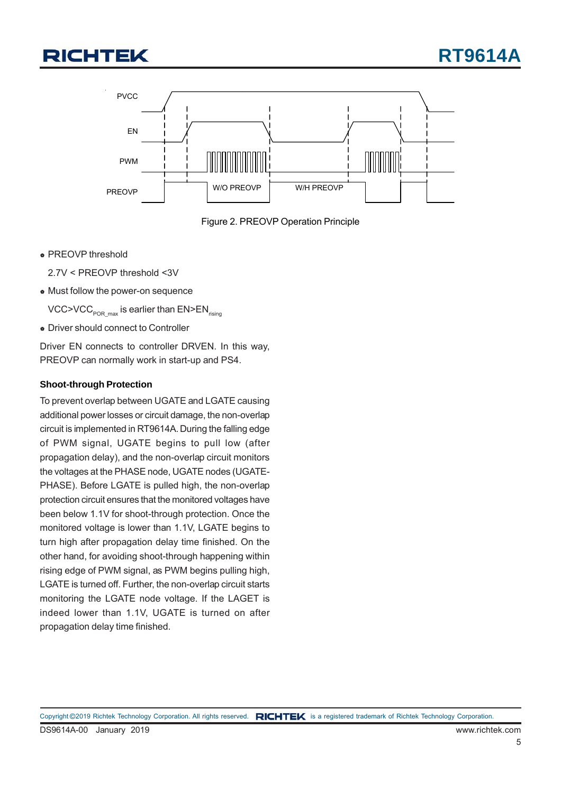



Figure 2. PREOVP Operation Principle

**PREOVP threshold** 

2.7V < PREOVP threshold <3V

Must follow the power-on sequence

VCC>VCC<sub>POR\_max</sub> is earlier than  $EN>EN$ <sub>rising</sub>

**Driver should connect to Controller** 

Driver EN connects to controller DRVEN. In this way, PREOVP can normally work in start-up and PS4.

#### **Shoot-through Protection**

To prevent overlap between UGATE and LGATE causing additional power losses or circuit damage, the non-overlap circuit is implemented in RT9614A. During the falling edge of PWM signal, UGATE begins to pull low (after propagation delay), and the non-overlap circuit monitors the voltages at the PHASE node, UGATE nodes (UGATE-PHASE). Before LGATE is pulled high, the non-overlap protection circuit ensures that the monitored voltages have been below 1.1V for shoot-through protection. Once the monitored voltage is lower than 1.1V, LGATE begins to turn high after propagation delay time finished. On the other hand, for avoiding shoot-through happening within rising edge of PWM signal, as PWM begins pulling high, LGATE is turned off. Further, the non-overlap circuit starts monitoring the LGATE node voltage. If the LAGET is indeed lower than 1.1V, UGATE is turned on after propagation delay time finished.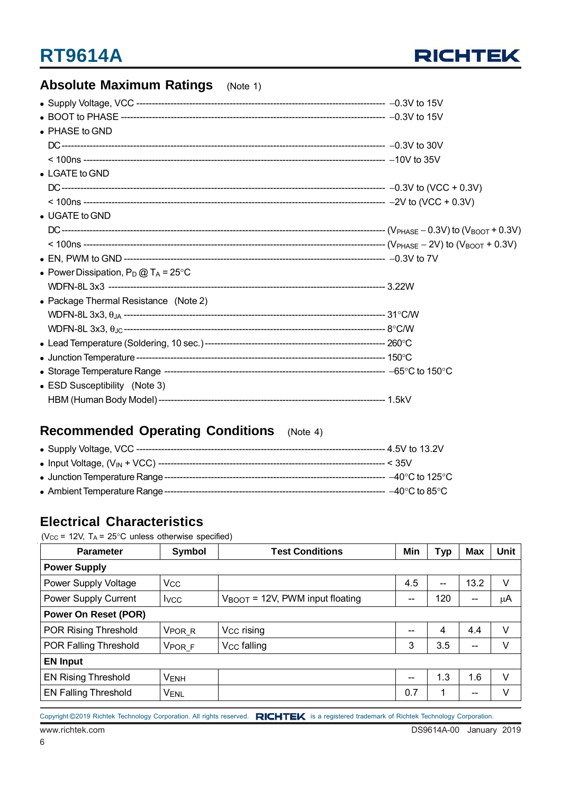

### **Absolute Maximum Ratings** (Note 1)

| • PHASE to GND                                 |  |
|------------------------------------------------|--|
|                                                |  |
|                                                |  |
| • LGATE to GND                                 |  |
|                                                |  |
|                                                |  |
| • UGATE to GND                                 |  |
|                                                |  |
|                                                |  |
|                                                |  |
| • Power Dissipation, $P_D @ T_A = 25^{\circ}C$ |  |
|                                                |  |
| • Package Thermal Resistance (Note 2)          |  |
|                                                |  |
|                                                |  |
|                                                |  |
|                                                |  |
|                                                |  |
| • ESD Susceptibility (Note 3)                  |  |
|                                                |  |

### **Recommended Operating Conditions** (Note 4)

### **Electrical Characteristics**

( $V_{CC}$  = 12V,  $T_A$  = 25°C unless otherwise specified)

| <b>Parameter</b>            | Symbol                | <b>Test Conditions</b>                      | Min | <b>Typ</b> | <b>Max</b> | <b>Unit</b> |  |  |
|-----------------------------|-----------------------|---------------------------------------------|-----|------------|------------|-------------|--|--|
| <b>Power Supply</b>         |                       |                                             |     |            |            |             |  |  |
| Power Supply Voltage        | <b>V<sub>CC</sub></b> |                                             | 4.5 | $-$        | 13.2       | V           |  |  |
| Power Supply Current        | <b>I</b> vcc          | $V_{\text{BOOT}}$ = 12V, PWM input floating | --  | 120        | $- -$      | μA          |  |  |
| <b>Power On Reset (POR)</b> |                       |                                             |     |            |            |             |  |  |
| POR Rising Threshold        | V <sub>PORR</sub>     | V <sub>CC</sub> rising                      | --  | 4          | 4.4        | v           |  |  |
| POR Falling Threshold       | V <sub>POR</sub> F    | V <sub>CC</sub> falling                     |     | 3.5        | $-$        | V           |  |  |
| <b>EN Input</b>             |                       |                                             |     |            |            |             |  |  |
| <b>EN Rising Threshold</b>  | <b>VENH</b>           |                                             | --  | 1.3        | 1.6        | V           |  |  |
| <b>EN Falling Threshold</b> | <b>VENL</b>           |                                             | 0.7 | 1          | --         | v           |  |  |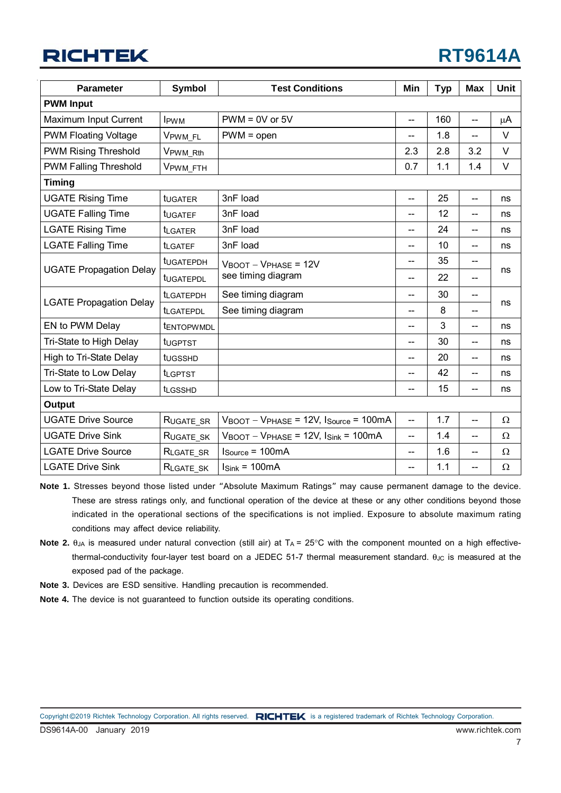| <b>Parameter</b>               | <b>Symbol</b>    | <b>Test Conditions</b>                                                           | Min                      | <b>Typ</b> | <b>Max</b>               | Unit     |
|--------------------------------|------------------|----------------------------------------------------------------------------------|--------------------------|------------|--------------------------|----------|
| <b>PWM Input</b>               |                  |                                                                                  |                          |            |                          |          |
| Maximum Input Current          | <b>IPWM</b>      | $PWM = 0V$ or $5V$                                                               | --                       | 160        | $\overline{\phantom{a}}$ | μA       |
| <b>PWM Floating Voltage</b>    | VPWM FL          | $PWM = open$                                                                     | $-$                      | 1.8        | $\overline{a}$           | $\vee$   |
| <b>PWM Rising Threshold</b>    | VPWM Rth         |                                                                                  | 2.3                      | 2.8        | 3.2                      | V        |
| <b>PWM Falling Threshold</b>   | VPWM_FTH         |                                                                                  | 0.7                      | 1.1        | 1.4                      | V        |
| <b>Timing</b>                  |                  |                                                                                  |                          |            |                          |          |
| <b>UGATE Rising Time</b>       | tugater          | 3nF load                                                                         | $-$                      | 25         | --                       | ns       |
| <b>UGATE Falling Time</b>      | tUGATEF          | 3nF load                                                                         | --                       | 12         | $-$                      | ns       |
| <b>LGATE Rising Time</b>       | <b>LGATER</b>    | 3nF load                                                                         | --                       | 24         | --                       | ns       |
| <b>LGATE Falling Time</b>      | <b>t</b> LGATEF  | 3nF load                                                                         | --                       | 10         | $-$                      | ns       |
|                                | tugatePDH        | $V_{\text{BOOT}} - V_{\text{PHASE}} = 12V$                                       | $-$                      | 35<br>$-$  |                          |          |
| <b>UGATE Propagation Delay</b> | tugatePDL        | see timing diagram                                                               | --                       | 22         | $-$                      | ns       |
|                                | <b>ILGATEPDH</b> | See timing diagram                                                               | $\overline{a}$           | 30<br>--   |                          |          |
| <b>LGATE Propagation Delay</b> | <b>ILGATEPDL</b> | See timing diagram                                                               | $-$                      | 8          |                          | ns       |
| EN to PWM Delay                | tENTOPWMDL       |                                                                                  | $-$                      | 3          | $-$                      | ns       |
| Tri-State to High Delay        | tugptst          |                                                                                  | --                       | 30         | $-$                      | ns       |
| High to Tri-State Delay        | tugsshp          |                                                                                  | $-$                      | 20         | $\overline{\phantom{a}}$ | ns       |
| Tri-State to Low Delay         | <b>t</b> LGPTST  |                                                                                  | --                       | 42         | $-$                      | ns       |
| Low to Tri-State Delay         | <b>t</b> LGSSHD  |                                                                                  | --                       | 15         | $-$                      | ns       |
| <b>Output</b>                  |                  |                                                                                  |                          |            |                          |          |
| <b>UGATE Drive Source</b>      | RUGATE_SR        | $V_{\text{BOOT}} - V_{\text{PHASE}} = 12V$ , $I_{\text{Source}} = 100 \text{mA}$ | $\overline{\phantom{a}}$ | 1.7        | $\overline{\phantom{a}}$ | $\Omega$ |
| <b>UGATE Drive Sink</b>        | RUGATE SK        | $V_{\text{BOOT}} - V_{\text{PHASE}} = 12V$ , $I_{\text{Sink}} = 100 \text{mA}$   | $-$                      | 1.4        | $\overline{\phantom{a}}$ | $\Omega$ |
| <b>LGATE Drive Source</b>      | RLGATE_SR        | $Isource = 100mA$                                                                | $\qquad \qquad -$        | 1.6        | $\overline{\phantom{m}}$ | $\Omega$ |
| <b>LGATE Drive Sink</b>        | RLGATE SK        | $Isink = 100mA$                                                                  | --                       | 1.1        | $-$                      | Ω        |

**Note 1.** Stresses beyond those listed under "Absolute Maximum Ratings" may cause permanent damage to the device. These are stress ratings only, and functional operation of the device at these or any other conditions beyond those indicated in the operational sections of the specifications is not implied. Exposure to absolute maximum rating conditions may affect device reliability.

- **Note 2.**  $\theta_{JA}$  is measured under natural convection (still air) at  $T_A = 25^\circ$ C with the component mounted on a high effectivethermal-conductivity four-layer test board on a JEDEC 51-7 thermal measurement standard.  $\theta_{\text{JC}}$  is measured at the exposed pad of the package.
- **Note 3.** Devices are ESD sensitive. Handling precaution is recommended.
- **Note 4.** The device is not guaranteed to function outside its operating conditions.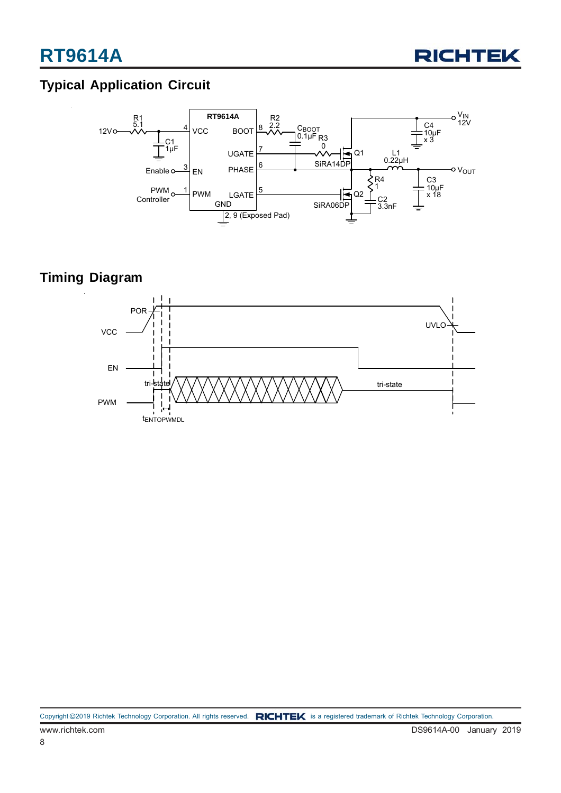

### **Typical Application Circuit**



### **Timing Diagram**

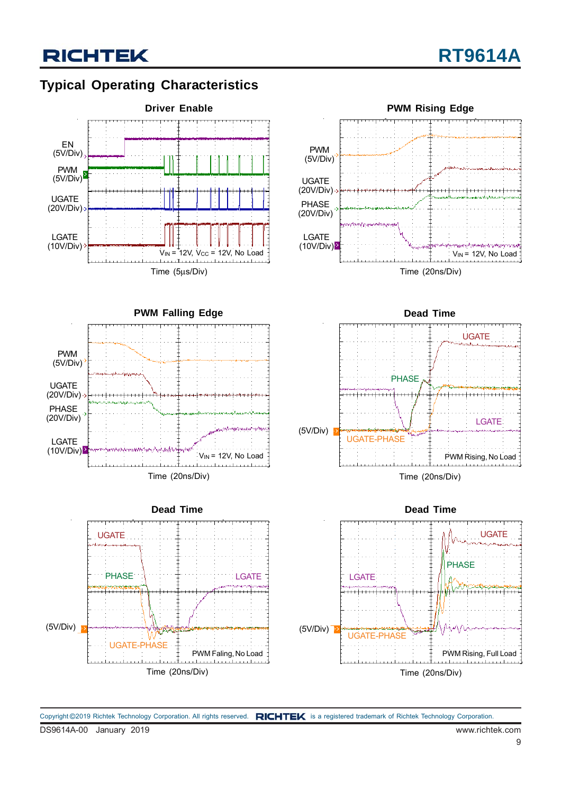### **Typical Operating Characteristics**

**RICHTEK** 













Copyright ©2019 Richtek Technology Corporation. All rights reserved. RICHTEK is a registered trademark of Richtek Technology Corporation.

UGATE (20V/Div)

PHASE (20V/Div)

LGATE  $(10V/Div)$ 

PWM (5V/Div)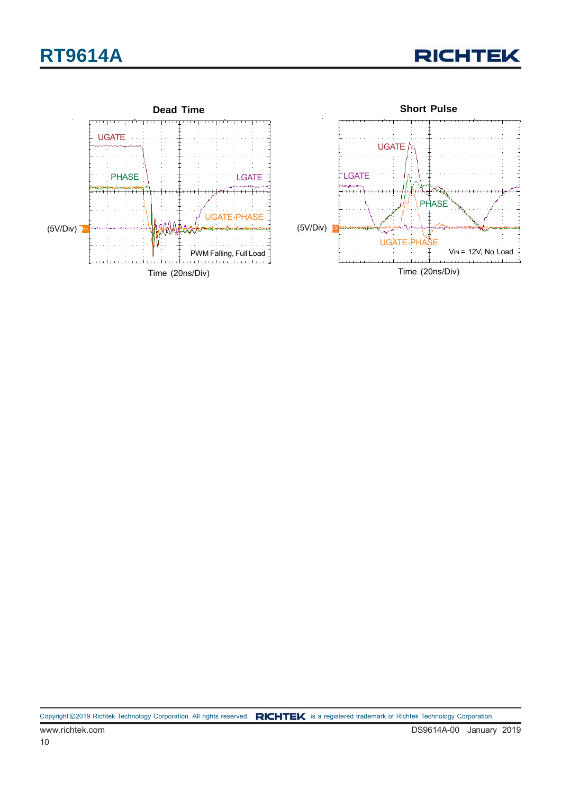

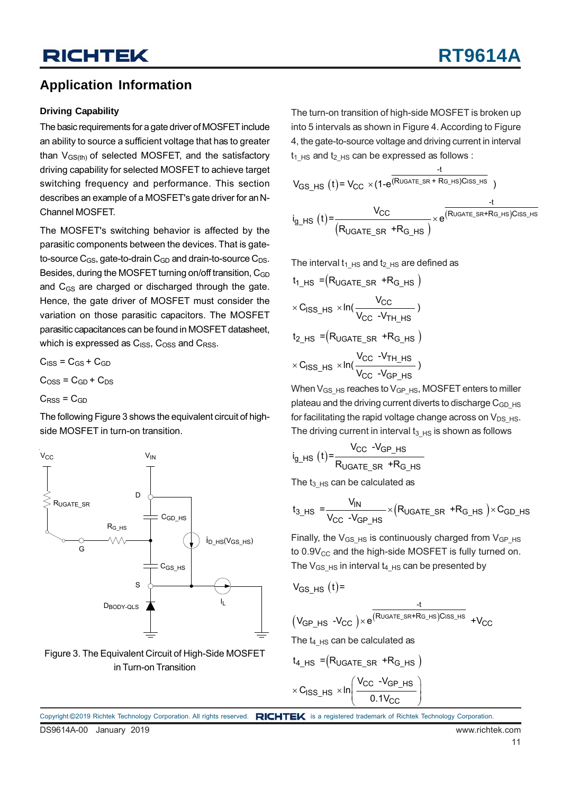### **Application Information**

#### **Driving Capability**

The basic requirements for a gate driver of MOSFET include an ability to source a sufficient voltage that has to greater than  $V_{GS(th)}$  of selected MOSFET, and the satisfactory driving capability for selected MOSFET to achieve target switching frequency and performance. This section describes an example of a MOSFET's gate driver for an N-Channel MOSFET.

The MOSFET's switching behavior is affected by the parasitic components between the devices. That is gateto-source  $C_{GS}$ , gate-to-drain  $C_{GD}$  and drain-to-source  $C_{DS}$ . Besides, during the MOSFET turning on/off transition, C<sub>GD</sub> and C<sub>GS</sub> are charged or discharged through the gate. Hence, the gate driver of MOSFET must consider the variation on those parasitic capacitors. The MOSFET parasitic capacitances can be found in MOSFET datasheet, which is expressed as  $C_{ISS}$ ,  $C_{OSS}$  and  $C_{RSS}$ .

 $C<sub>ISS</sub> = C<sub>GS</sub> + C<sub>GD</sub>$  $C<sub>oss</sub> = C<sub>GD</sub> + C<sub>DS</sub>$  $C<sub>RSS</sub> = C<sub>GD</sub>$ 

The following Figure 3 shows the equivalent circuit of highside MOSFET in turn-on transition.





The turn-on transition of high-side MOSFET is broken up into 5 intervals as shown in Figure 4. According to Figure 4, the gate-to-source voltage and driving current in interval  $t_1$  Hs and  $t_2$  Hs can be expressed as follows :

$$
V_{GS_HS}(t) = V_{CC} \times (1 - e^{\frac{-t}{(R_{UGATE_SR} + R_{G_HS})C_{ISS_HS}}})
$$
  

$$
i_{g_HS}(t) = \frac{V_{CC}}{(R_{UGATE_SR} + R_{G_HS})} \times e^{\frac{-t}{(R_{UGATE_SR} + R_{G_HS})C_{ISS_HS}}}
$$

The interval  $t_1$  <sub>HS</sub> and  $t_2$  <sub>HS</sub> are defined as

$$
t_{1_HS} = (R_{UGATE\_SR} + R_{G_HS})
$$
\n
$$
\times C_{ISS_HS} \times ln(\frac{V_{CC}}{V_{CC} - V_{TH_HS}})
$$
\n
$$
t_{2_HS} = (R_{UGATE\_SR} + R_{G_HS})
$$
\n
$$
\times C_{ISS_HS} \times ln(\frac{V_{CC} - V_{TH_HS}}{V_{CC} - V_{GP_HS}})
$$

When  $V_{GS_HS}$  reaches to  $V_{GP_HS}$ , MOSFET enters to miller plateau and the driving current diverts to discharge  $C<sub>GD</sub>$  HS for facilitating the rapid voltage change across on  $V_{DS-HS}$ . The driving current in interval  $t_3$   $_{HS}$  is shown as follows

$$
i_{g_HS}(t) = \frac{V_{CC} - V_{GP_HS}}{R_{UGATE_SR} + R_{G_HS}}
$$

The  $t_3$   $_{HS}$  can be calculated as

$$
t_{3_HS} = \frac{V_{IN}}{V_{CC} - V_{GP_{MS}}} \times (R_{UGATE_{SR}} + R_{G_{MS}}) \times C_{GD_{MS}}
$$

Finally, the  $V_{GS}$  Hs is continuously charged from  $V_{GP}$  Hs to  $0.9V_{CC}$  and the high-side MOSFET is fully turned on. The  $V_{GS_HS}$  in interval  $t_{4_HS}$  can be presented by

 $-<sup>t</sup>$ 

$$
V_{GS_HS}(t) =
$$

$$
(V_{GP\_HS} - V_{CC}) \times e^{\frac{\overbrace{(R_{UGATE\_SR+RG\_HS})C_{ISS\_HS}}}{(R_{UGATE\_SR+RG\_HS})C_{ISS\_HS}}} + V_{CC}
$$

The  $t_4$   $_{HS}$  can be calculated as

$$
t_{4_HS} = (R_{UGATE\_SR} + R_{G_HS})
$$
  
 
$$
\times C_{ISS_HS} \times ln\left(\frac{V_{CC} - V_{GP_HS}}{0.1 V_{CC}}\right)
$$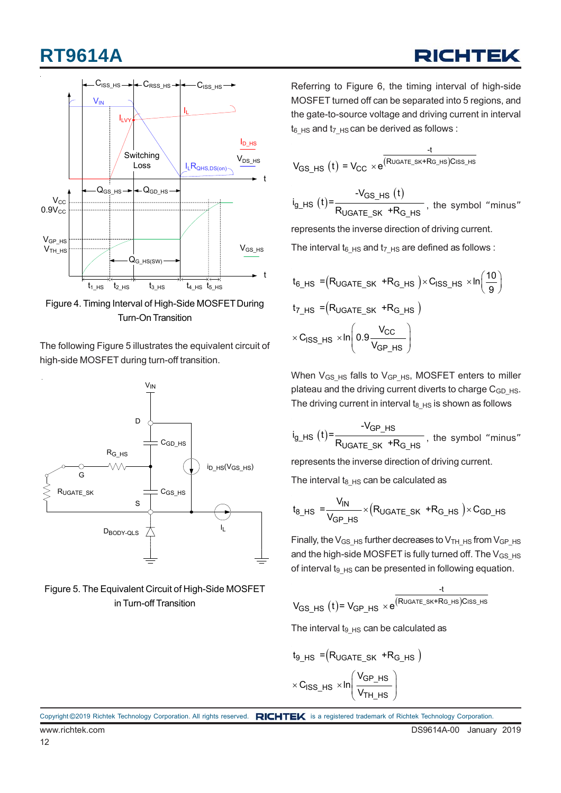

Figure 4. Timing Interval of High-Side MOSFET During Turn-On Transition

The following Figure 5 illustrates the equivalent circuit of high-side MOSFET during turn-off transition.



Figure 5. The Equivalent Circuit of High-Side MOSFET in Turn-off Transition

Referring to Figure 6, the timing interval of high-side MOSFET turned off can be separated into 5 regions, and the gate-to-source voltage and driving current in interval  $t_6$  <sub>HS</sub> and  $t_7$  <sub>HS</sub> can be derived as follows :

$$
V_{GS\_HS}(t) = V_{CC} \times e^{\frac{-t}{(R_{UGATE\_SK+RG\_HS})C_{ISS\_HS}}}
$$

 $V_{\text{GS\_HS}}(t) = \frac{-V_{\text{GS\_HS}}(t)}{1 - \sum_{i=1}^{n} \frac{1}{i}}$ UGATE\_SK <sup>+</sup>KG\_HS -V<sub>GS HS</sub> (t  $i_{g_H}$  is  $(t)$  =  $\frac{f_{g_H}}{R_{UGATE\_SK} + R_{G,HS}}$ , the symbol "minus"

represents the inverse direction of driving current.

The interval  $t_6$  <sub>HS</sub> and  $t_7$  <sub>HS</sub> are defined as follows :

$$
t_{6_HS} = (R_{UGATE\_SK} + R_{G_HS}) \times C_{ISS_HS} \times ln\left(\frac{10}{9}\right)
$$
  
\n
$$
t_{7_HS} = (R_{UGATE\_SK} + R_{G_HS})
$$
  
\n
$$
\times C_{ISS_HS} \times ln\left(0.9 \frac{V_{CC}}{V_{GP_HS}}\right)
$$

When  $V_{GS}$  Hs falls to  $V_{GP}$  Hs, MOSFET enters to miller plateau and the driving current diverts to charge C<sub>GD</sub> Hs. The driving current in interval  $t_{8-HS}$  is shown as follows

$$
i_{g_H} = \frac{-V_{GP_H}S}{R_{UGATE_S} + R_{G_H}S}
$$
, the symbol "minus"

represents the inverse direction of driving current.

The interval  $t_8$   $_{HS}$  can be calculated as

$$
t_{8_HSS} = \frac{V_{IN}}{V_{GP_HSS}} \times (R_{UGATE_SK} + R_{G_HSS}) \times C_{GD_HSS}
$$

Finally, the  $V_{GS-HS}$  further decreases to  $V_{TH-HS}$  from  $V_{GP-HS}$ and the high-side MOSFET is fully turned off. The  $V_{GS-HS}$ of interval  $t_{9_HS}$  can be presented in following equation.

$$
V_{GS\_HS}(t) = V_{GP\_HS} \times e^{\frac{-t}{(R_{UGATE\_SK+RG\_HS})C_{ISS\_HS}}}
$$

The interval t<sub>9</sub> $H_S$  can be calculated as

$$
t_{9_HS} = (R_{UGATE\_SK} + R_{G_HS})
$$
  

$$
\times C_{ISS_HS} \times ln \left( \frac{V_{GP_HS}}{V_{TH_HS}} \right)
$$

Copyright ©2019 Richtek Technology Corporation. All rights reserved. RICHTEK is a registered trademark of Richtek Technology Corporation.

## RICHTEL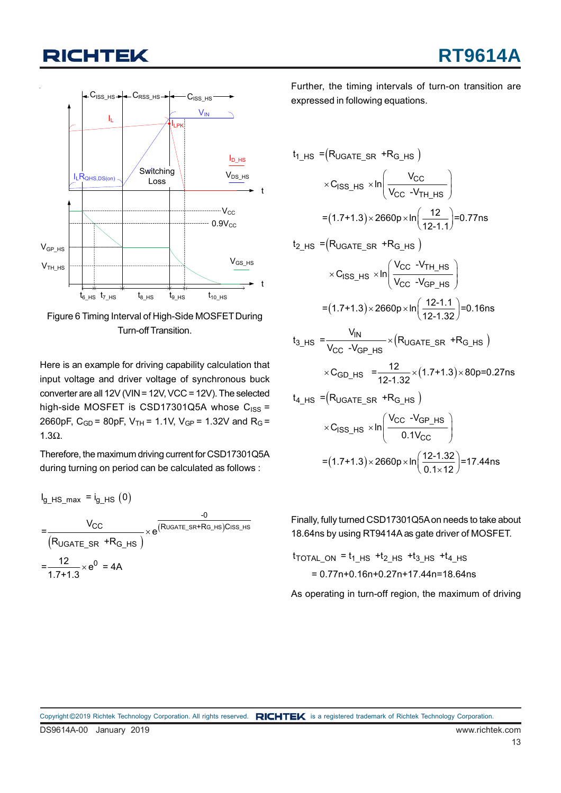

Figure 6 Timing Interval of High-Side MOSFET During Turn-off Transition.

Here is an example for driving capability calculation that input voltage and driver voltage of synchronous buck converter are all 12V (VIN = 12V, VCC = 12V). The selected high-side MOSFET is CSD17301Q5A whose  $C_{ISS} =$ 2660pF,  $C_{GD}$  = 80pF,  $V_{TH}$  = 1.1V,  $V_{GP}$  = 1.32V and R<sub>G</sub> = 1.3Ω.

Therefore, the maximum driving current for CSD17301Q5A during turning on period can be calculated as follows :

 $I_{g_HSS_{max}} = I_{g_HSS}(0)$ (R<sub>UGATE SR</sub> +R<sub>G HS</sub> ) (R∪GATE\_SR+RG\_HS)Ciss\_HS -0  $CC \qquad \qquad (R \cup G \cap F \cup G) \cap R \cup G \cap F \cap F \cap G \cap F \cap G \cap F$ UGATE\_SR <sup>+</sup>KG\_HS  $=\frac{12}{12} \times e^{0} = 4A$ V = e  $R_{UGATE}$  sr  $+R$ 1.7+1.3  $\times$  $\times$ 

Further, the timing intervals of turn-on transition are expressed in following equations.

$$
t_{1\text{H}} = (R_{UGATE\_SR} + R_{G\_HS})
$$
\n
$$
\times C_{ISS\_HS} \times ln\left(\frac{V_{CC}}{V_{CC} - V_{TH\_HS}}\right)
$$
\n
$$
= (1.7 + 1.3) \times 2660p \times ln\left(\frac{12}{12 - 1.1}\right) = 0.77ns
$$
\n
$$
t_{2\text{H}} = (R_{UGATE\_SR} + R_{G\_HS})
$$
\n
$$
\times C_{ISS\_HS} \times ln\left(\frac{V_{CC} - V_{TH\_HS}}{V_{CC} - V_{GP\_HS}}\right)
$$
\n
$$
= (1.7 + 1.3) \times 2660p \times ln\left(\frac{12 - 1.1}{12 - 1.32}\right) = 0.16ns
$$
\n
$$
t_{3\text{H}} = \frac{V_{IN}}{V_{CC} - V_{GP\_HS}} \times (R_{UGATE\_SR} + R_{G\_HS})
$$
\n
$$
\times C_{GD\_HS} = \frac{12}{12 - 1.32} \times (1.7 + 1.3) \times 80p = 0.27ns
$$
\n
$$
t_{4\text{H}} = (R_{UGATE\_SR} + R_{G\_HS})
$$
\n
$$
\times C_{ISS\_HS} \times ln\left(\frac{V_{CC} - V_{GP\_HS}}{0.1 V_{CC}}\right)
$$
\n
$$
= (1.7 + 1.3) \times 2660p \times ln\left(\frac{12 - 1.32}{0.1 \times 12}\right) = 17.44ns
$$

Finally, fully turned CSD17301Q5A on needs to take about 18.64ns by using RT9414A as gate driver of MOSFET.

t<sub>TOTAL\_ON</sub> = t<sub>1\_HS</sub> +t<sub>2\_HS</sub> +t<sub>3\_HS</sub> +t<sub>4\_HS</sub>  $= 0.77n+0.16n+0.27n+17.44n=18.64ns$ 

As operating in turn-off region, the maximum of driving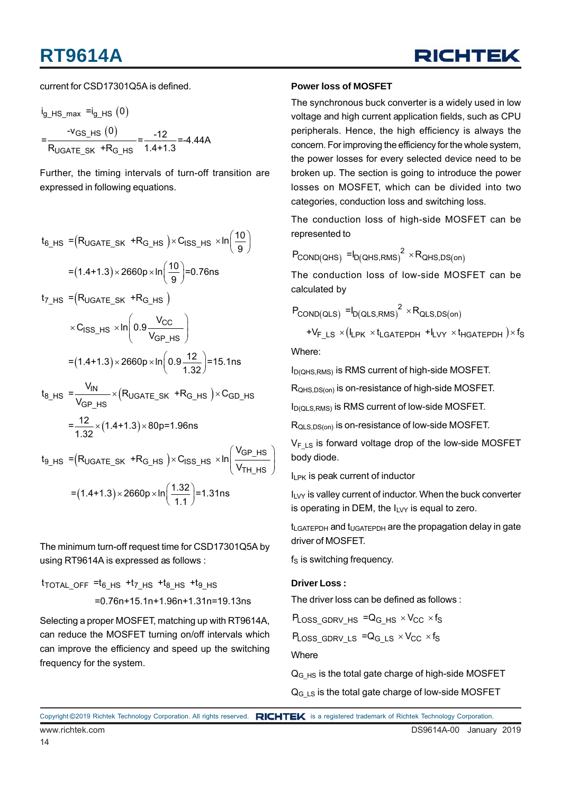

current for CSD17301Q5A is defined.

$$
i_{g_HS_{max}} = i_{g_HS} (0)
$$
  
= 
$$
\frac{-v_{GS_HS}(0)}{R_{UGATE_SK} + R_{G_HS}} = \frac{-12}{1.4 + 1.3} = -4.44A
$$

Further, the timing intervals of turn-off transition are expressed in following equations.

$$
t_{6\text{--HS}} = (R_{UGATE\_SK} + R_{G\text{--HS}}) \times C_{ISS\text{--HS}} \times \ln\left(\frac{10}{9}\right)
$$

$$
= (1.4 + 1.3) \times 2660p \times \ln\left(\frac{10}{9}\right) = 0.76 \text{ns}
$$

 $\mathsf{t}_{\mathsf{7\_HS}}$  = $(\mathsf{R}_{\mathsf{UGATE\_SK}}$  + $\mathsf{R}_{\mathsf{G\_HS}}$   $)$ 

$$
\times \text{C}_{\text{ISS\_HS}} \times \ln\left(0.9 \frac{\text{V}_{\text{CC}}}{\text{V}_{\text{GP\_HS}}}\right)
$$
  
= (1.4+1.3) \times 2660p \times ln\left(0.9 \frac{12}{1.32}\right) = 15.1ns

$$
t_{8\text{--HS}} = \frac{v_{\text{IN}}}{V_{\text{GP}\text{--HS}}} \times (R_{\text{UGATE}\text{--SK}} + R_{\text{G}\text{--HS}}) \times C_{\text{GD}\text{--HS}}
$$

$$
= \frac{12}{1.32} \times (1.4 + 1.3) \times 80 \text{p} = 1.96 \text{ns}
$$

 $(R_{UGATE SK}$  +R<sub>G HS</sub>) × C<sub>ISS HS</sub> × In  $\frac{VGP_HS}{V}$  $=(1.4+1.3)\times 2660p \times \ln\left(\frac{1.32}{1.1}\right) = 1.31n s$ 9\_HS <sup>=</sup>(¤UGATE\_SK <sup>+R</sup>G\_HS )<sup>x U</sup>ISS\_HS TH\_HS V  $t_{9}$   $_{HS}$  = (R<sub>UGATE SK</sub> +R<sub>G HS</sub> )×C<sub>ISS HS</sub> × In  $\times$  C<sub>ISS\_HS</sub>  $\times$ In $\left(\frac{\text{V}_{\text{GP\_HS}}}{\text{V}_{\text{TH\_HS}}}\right)$ 1.1  $\times$  2660p  $\times$  In $\left(\frac{1.32}{1.1}\right)$ =1.31n  $\times$ 

The minimum turn-off request time for CSD17301Q5A by using RT9614A is expressed as follows :

t<sub>total\_off</sub> =t<sub>6\_HS</sub> +t<sub>7\_HS</sub> +t<sub>8\_HS</sub> +t<sub>9\_HS</sub>  $=0.76n+15.1n+1.96n+1.31n=19.13ns$ 

Selecting a proper MOSFET, matching up with RT9614A, can reduce the MOSFET turning on/off intervals which can improve the efficiency and speed up the switching frequency for the system.

#### **Power loss of MOSFET**

The synchronous buck converter is a widely used in low voltage and high current application fields, such as CPU peripherals. Hence, the high efficiency is always the concern. For improving the efficiency for the whole system, the power losses for every selected device need to be broken up. The section is going to introduce the power losses on MOSFET, which can be divided into two categories, conduction loss and switching loss.

The conduction loss of high-side MOSFET can be represented to

$$
P_{\text{COND(QHS)}} = I_{D(\text{QHS},\text{RMS})}^2 \times R_{\text{QHS},\text{DS(on)}}
$$

The conduction loss of low-side MOSFET can be calculated by

$$
P_{\text{COND(QLS)}} = I_{D(QLS,RMS)}^2 \times R_{QLS,DS(on)}
$$

$$
+V_{F\_{LS}}\times(I_{LPK}\times t_{LGATEPDH}+I_{LVY}\times t_{HGATEPDH})\times f_{S}
$$

Where:

ID(QHS,RMS) is RMS current of high-side MOSFET.

R<sub>OHS,DS(on)</sub> is on-resistance of high-side MOSFET.

ID(QLS,RMS) is RMS current of low-side MOSFET.

RQLS,DS(on) is on-resistance of low-side MOSFET.

 $V_F$ <sub>LS</sub> is forward voltage drop of the low-side MOSFET body diode.

 $I_{LPK}$  is peak current of inductor

 $I_{LVT}$  is valley current of inductor. When the buck converter is operating in DEM, the  $I_{LVT}$  is equal to zero.

t<sub>LGATEPDH</sub> and t<sub>UGATEPDH</sub> are the propagation delay in gate driver of MOSFET.

 $f_S$  is switching frequency.

#### **Driver Loss :**

The driver loss can be defined as follows :

 $\mathsf{P}_\mathsf{Loss\_GDRV\_HS}$  =Q $_{\mathsf{G\_HS}}$   $\times$  V $_{\mathsf{CC}}$   $\times$  f $_{\mathsf{S}}$ 

 $\mathsf{P\!Loss\_GDRV\_LS}$  = $\mathsf{Q}_{\mathsf{G\_LS}}$   $\times \mathsf{V}_{\mathsf{CC}}$   $\times \mathsf{f}_{\mathsf{S}}$ 

**Where** 

 $Q<sub>G</sub>$   $_{HS}$  is the total gate charge of high-side MOSFET

 $Q<sub>G LS</sub>$  is the total gate charge of low-side MOSFET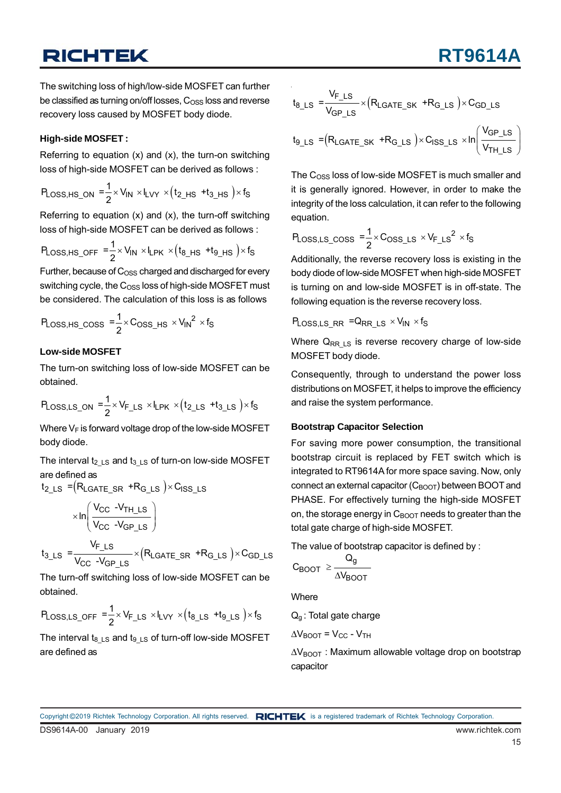**RT9614** 

The switching loss of high/low-side MOSFET can further be classified as turning on/off losses,  $C_{\text{OSS}}$  loss and reverse recovery loss caused by MOSFET body diode.

#### **High-side MOSFET :**

Referring to equation  $(x)$  and  $(x)$ , the turn-on switching loss of high-side MOSFET can be derived as follows :

$$
P_{\text{Loss},\text{HS\_ON}} = \frac{1}{2} \times V_{\text{IN}} \times I_{\text{LVY}} \times (t_{2\text{--HS}} + t_{3\text{--HS}}) \times f_{\text{S}}
$$

Referring to equation  $(x)$  and  $(x)$ , the turn-off switching loss of high-side MOSFET can be derived as follows :

$$
P_{\text{Loss,HS\_OFF}} = \frac{1}{2} \times V_{\text{IN}} \times I_{\text{LPK}} \times (t_{8\text{\_HS}} + t_{9\text{\_HS}}) \times f_{\text{S}}
$$

Further, because of  $C<sub>OSS</sub>$  charged and discharged for every switching cycle, the  $C<sub>OS</sub>$  loss of high-side MOSFET must be considered. The calculation of this loss is as follows

$$
P_{\text{Loss,HS\_COSS}} = \frac{1}{2} \times C_{\text{OSS\_HS}} \times V_{\text{IN}}^2 \times f_{\text{S}}
$$

#### **Low-side MOSFET**

The turn-on switching loss of low-side MOSFET can be obtained.

$$
P_{\text{Loss},\text{LS\_ON}} = \frac{1}{2} \times V_{F\_\text{LS}} \times I_{\text{LPK}} \times (t_{2\_\text{LS}} + t_{3\_\text{LS}}) \times f_{S}
$$

Where  $V_F$  is forward voltage drop of the low-side MOSFET body diode.

The interval  $t_2$  Ls and  $t_3$  Ls of turn-on low-side MOSFET are defined as

$$
t_{2\text{LS}} = (R_{\text{LGATE\_SR}} + R_{\text{G}\_\text{LS}}) \times C_{\text{ISS}\_\text{LS}}
$$
\n
$$
\times \ln \left( \frac{V_{CC} - V_{\text{TH}\_\text{LS}}}{V_{CC} - V_{\text{GP}\_\text{LS}}} \right)
$$
\n
$$
t_{3\_\text{LS}} = \frac{V_{F\_\text{LS}}}{V_{CC} - V_{\text{GP}\_\text{LS}}} \times (R_{\text{LGATE\_SR}} + R_{\text{G}\_\text{LS}}) \times C_{\text{GD}\_\text{LS}}
$$

The turn-off switching loss of low-side MOSFET can be obtained.

$$
P_{\text{Loss},\text{LS\_OFF}} = \frac{1}{2} \times V_{F\text{LS}} \times I_{\text{LVV}} \times (t_{8\text{LS}} + t_{9\text{LS}}) \times f_{\text{S}}
$$

The interval  $t_{8\text{ LS}}$  and  $t_{9\text{ LS}}$  of turn-off low-side MOSFET are defined as

$$
t_{8\_\text{LS}} = \frac{V_{F\_\text{LS}}}{V_{GP\_\text{LS}}} \times (R_{LGATE\_SK} + R_{G\_\text{LS}}) \times C_{GD\_\text{LS}}
$$

$$
t_{9\_\text{LS}} = (R_{LGATE\_SK} + R_{G\_\text{LS}}) \times C_{ISS\_\text{LS}} \times ln\left(\frac{V_{GP\_\text{LS}}}{V_{TH\_\text{LS}}}\right)
$$

The  $C<sub>OSS</sub>$  loss of low-side MOSFET is much smaller and it is generally ignored. However, in order to make the integrity of the loss calculation, it can refer to the following equation.

$$
P_{\text{Loss},\text{LS}\_\text{COSS}} = \frac{1}{2} \times C_{\text{OSS}\_\text{LS}} \times V_{\text{F}\_\text{LS}}^2 \times f_{\text{S}}
$$

Additionally, the reverse recovery loss is existing in the body diode of low-side MOSFET when high-side MOSFET is turning on and low-side MOSFET is in off-state. The following equation is the reverse recovery loss.

PLOSS, LS RR = QRR LS  $\times$  V<sub>IN</sub>  $\times$  f<sub>S</sub>

Where  $Q_{RR\;LS}$  is reverse recovery charge of low-side MOSFET body diode.

Consequently, through to understand the power loss distributions on MOSFET, it helps to improve the efficiency and raise the system performance.

#### **Bootstrap Capacitor Selection**

For saving more power consumption, the transitional bootstrap circuit is replaced by FET switch which is integrated to RT9614A for more space saving. Now, only connect an external capacitor  $(C_{\text{BOOT}})$  between BOOT and PHASE. For effectively turning the high-side MOSFET on, the storage energy in  $C_{\text{BOOT}}$  needs to greater than the total gate charge of high-side MOSFET.

The value of bootstrap capacitor is defined by :

$$
C_{BOOT} \geq \frac{Q_g}{\Delta V_{BOOT}}
$$

**Where** 

Q<sub>g</sub>: Total gate charge

 $\Delta V_{\text{BOOT}}$  =  $V_{\text{CC}}$  -  $V_{\text{TH}}$ 

 $\Delta V_{\text{BOOT}}$  : Maximum allowable voltage drop on bootstrap capacitor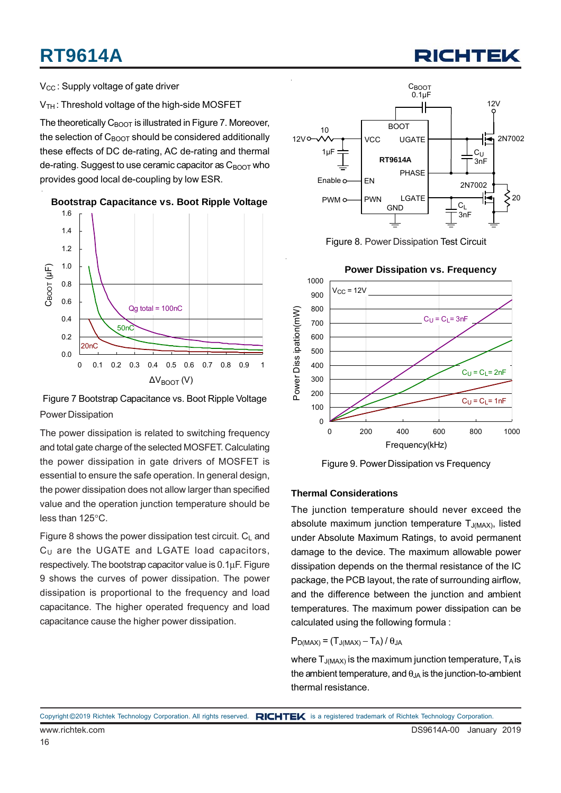$V_{CC}$ : Supply voltage of gate driver

V<sub>TH</sub>: Threshold voltage of the high-side MOSFET

The theoretically  $C_{\text{BODT}}$  is illustrated in Figure 7. Moreover, the selection of  $C_{\text{BODT}}$  should be considered additionally these effects of DC de-rating, AC de-rating and thermal de-rating. Suggest to use ceramic capacitor as  $C_{\text{BNOT}}$  who provides good local de-coupling by low ESR.



**Bootstrap Capacitance vs. Boot Ripple Voltage**

Figure 7 Bootstrap Capacitance vs. Boot Ripple Voltage Power Dissipation

The power dissipation is related to switching frequency and total gate charge of the selected MOSFET. Calculating the power dissipation in gate drivers of MOSFET is essential to ensure the safe operation. In general design, the power dissipation does not allow larger than specified value and the operation junction temperature should be less than 125°C.

Figure 8 shows the power dissipation test circuit.  $C_L$  and  $C_U$  are the UGATE and LGATE load capacitors, respectively. The bootstrap capacitor value is 0.1μF. Figure 9 shows the curves of power dissipation. The power dissipation is proportional to the frequency and load capacitance. The higher operated frequency and load capacitance cause the higher power dissipation.



Figure 8. Power Dissipation Test Circuit



Figure 9. Power Dissipation vs Frequency

#### **Thermal Considerations**

The junction temperature should never exceed the absolute maximum junction temperature  $T_{J(MAX)}$ , listed under Absolute Maximum Ratings, to avoid permanent damage to the device. The maximum allowable power dissipation depends on the thermal resistance of the IC package, the PCB layout, the rate of surrounding airflow, and the difference between the junction and ambient temperatures. The maximum power dissipation can be calculated using the following formula :

$$
P_{D(MAX)} = (T_{J(MAX)} - T_A) / \theta_{JA}
$$

where  $T_{J(MAX)}$  is the maximum junction temperature,  $T_A$  is the ambient temperature, and  $\theta_{JA}$  is the junction-to-ambient thermal resistance.

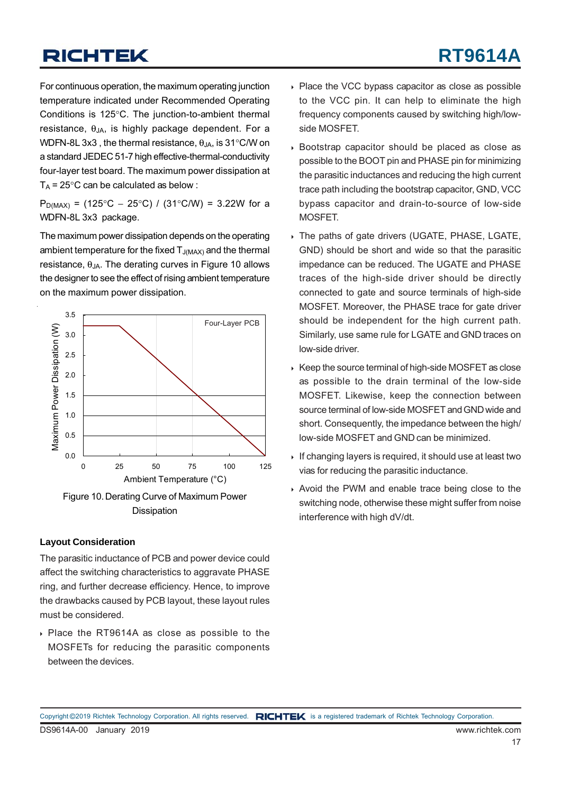For continuous operation, the maximum operating junction temperature indicated under Recommended Operating Conditions is 125°C. The junction-to-ambient thermal resistance,  $\theta_{JA}$ , is highly package dependent. For a WDFN-8L 3x3, the thermal resistance,  $\theta_{JA}$ , is 31°C/W on a standard JEDEC 51-7 high effective-thermal-conductivity four-layer test board. The maximum power dissipation at  $T_A$  = 25°C can be calculated as below :

P<sub>D(MAX)</sub> = (125°C – 25°C) / (31°C/W) = 3.22W for a WDFN-8L 3x3 package.

The maximum power dissipation depends on the operating ambient temperature for the fixed  $T_{J(MAX)}$  and the thermal resistance,  $θ_{JA}$ . The derating curves in Figure 10 allows the designer to see the effect of rising ambient temperature on the maximum power dissipation.



Figure 10. Derating Curve of Maximum Power Dissipation

#### **Layout Consideration**

The parasitic inductance of PCB and power device could affect the switching characteristics to aggravate PHASE ring, and further decrease efficiency. Hence, to improve the drawbacks caused by PCB layout, these layout rules must be considered.

 Place the RT9614A as close as possible to the MOSFETs for reducing the parasitic components between the devices.

- ▶ Place the VCC bypass capacitor as close as possible to the VCC pin. It can help to eliminate the high frequency components caused by switching high/lowside MOSFET.
- Bootstrap capacitor should be placed as close as possible to the BOOT pin and PHASE pin for minimizing the parasitic inductances and reducing the high current trace path including the bootstrap capacitor, GND, VCC bypass capacitor and drain-to-source of low-side MOSFET.
- The paths of gate drivers (UGATE, PHASE, LGATE, GND) should be short and wide so that the parasitic impedance can be reduced. The UGATE and PHASE traces of the high-side driver should be directly connected to gate and source terminals of high-side MOSFET. Moreover, the PHASE trace for gate driver should be independent for the high current path. Similarly, use same rule for LGATE and GND traces on low-side driver.
- $\triangleright$  Keep the source terminal of high-side MOSFET as close as possible to the drain terminal of the low-side MOSFET. Likewise, keep the connection between source terminal of low-side MOSFET and GND wide and short. Consequently, the impedance between the high/ low-side MOSFET and GND can be minimized.
- If changing layers is required, it should use at least two vias for reducing the parasitic inductance.
- Avoid the PWM and enable trace being close to the switching node, otherwise these might suffer from noise interference with high dV/dt.

Copyright ©2019 Richtek Technology Corporation. All rights reserved. RICHTEK is a registered trademark of Richtek Technology Corporation.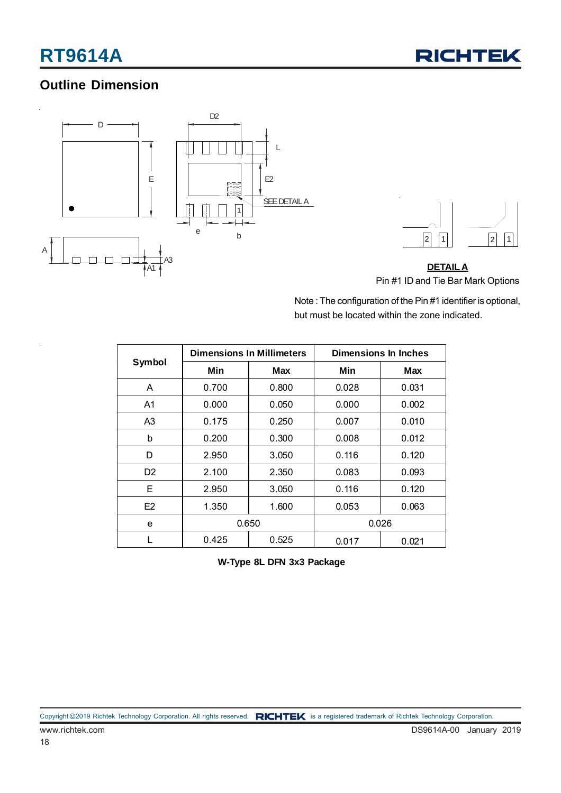

### **Outline Dimension**





**DETAILA** Pin #1 ID and Tie Bar Mark Options

Note : The configuration of the Pin #1 identifier is optional, but must be located within the zone indicated.

| Symbol         |       | <b>Dimensions In Millimeters</b> | Dimensions In Inches |       |  |  |
|----------------|-------|----------------------------------|----------------------|-------|--|--|
|                | Min   | Max                              | Min                  | Max   |  |  |
| A              | 0.700 | 0.800                            |                      | 0.031 |  |  |
| A1             | 0.000 | 0.050                            | 0.000                | 0.002 |  |  |
| A3             | 0.175 | 0.250                            | 0.007                | 0.010 |  |  |
| b              | 0.200 | 0.300                            | 0.008                | 0.012 |  |  |
| D              | 2.950 | 3.050                            | 0.116                | 0.120 |  |  |
| D <sub>2</sub> | 2.100 | 2.350                            | 0.083                | 0.093 |  |  |
| Е              | 2.950 | 3.050                            | 0.116                | 0.120 |  |  |
| F <sub>2</sub> | 1.350 | 1.600                            | 0.053                | 0.063 |  |  |
| е              |       | 0.650                            |                      | 0.026 |  |  |
|                | 0.425 | 0.525                            | 0.017<br>0.021       |       |  |  |

**W-Type 8L DFN 3x3 Package**